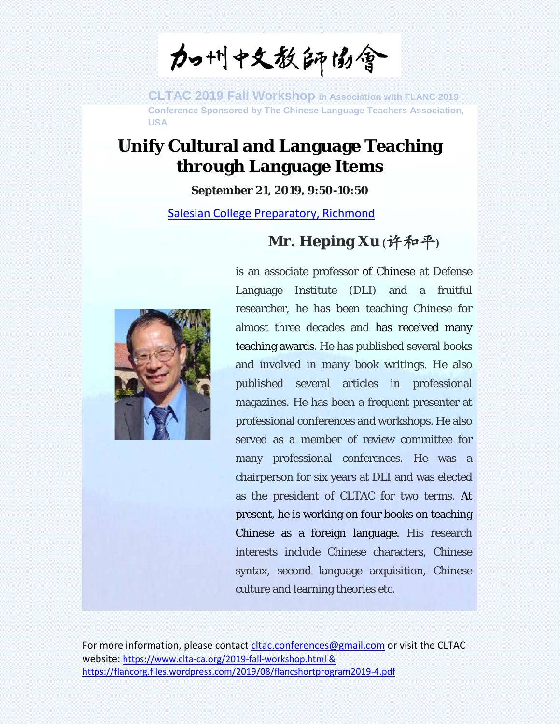加州中文教師協會

## **Unify Cultural and Language Teaching through Language Items**

**September 21, 2019, 9:50-10:50**

[Salesian College Preparatory, Richmond](https://www.google.com/maps/place/Salesian+College+Preparatory/@37.9527252,-122.3421972,17z/data=!3m1!4b1!4m5!3m4!1s0x808577f41e54e179:0x4b382bf8bae2b1ac!8m2!3d37.9529308!4d-122.3409873?hl=en&authuser=3)

## **Mr. Heping Xu (**许和平**)**



is an associate professor of Chinese at Defense Language Institute (DLI) and a fruitful researcher, he has been teaching Chinese for almost three decades and has received many teaching awards. He has published several books and involved in many book writings. He also published several articles in professional magazines. He has been a frequent presenter at professional conferences and workshops. He also served as a member of review committee for many professional conferences. He was a chairperson for six years at DLI and was elected as the president of CLTAC for two terms. At present, he is working on four books on teaching Chinese as a foreign language. His research interests include Chinese characters, Chinese syntax, second language acquisition, Chinese culture and learning theories etc.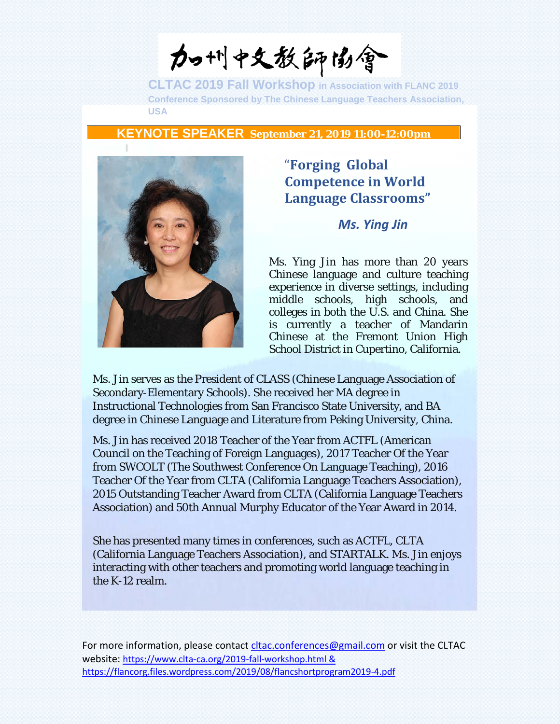力叫中文教師協會

**KEYNOTE SPEAKER September 21, 2019 11:00-12:00pm**



### "**Forging Global Competence in World Language Classrooms"**

#### *Ms. Ying Jin*

Ms. Ying Jin has more than 20 years Chinese language and culture teaching experience in diverse settings, including middle schools, high schools, and colleges in both the U.S. and China. She is currently a teacher of Mandarin Chinese at the Fremont Union High School District in Cupertino, California.

Ms. Jin serves as the President of CLASS (Chinese Language Association of Secondary-Elementary Schools). She received her MA degree in Instructional Technologies from San Francisco State University, and BA degree in Chinese Language and Literature from Peking University, China.

Ms. Jin has received 2018 Teacher of the Year from ACTFL (American Council on the Teaching of Foreign Languages), 2017 Teacher Of the Year from SWCOLT (The Southwest Conference On Language Teaching), 2016 Teacher Of the Year from CLTA (California Language Teachers Association), 2015 Outstanding Teacher Award from CLTA (California Language Teachers Association) and 50th Annual Murphy Educator of the Year Award in 2014.

She has presented many times in conferences, such as ACTFL, CLTA (California Language Teachers Association), and STARTALK. Ms. Jin enjoys interacting with other teachers and promoting world language teaching in the K-12 realm.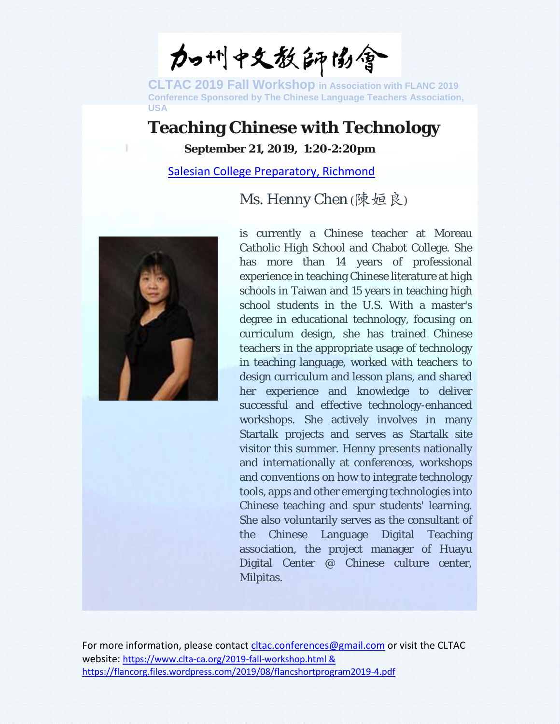加州中文教師協會

## **Teaching Chinese with Technology**

**September 21, 2019, 1:20-2:20pm**

[Salesian College Preparatory, Richmond](https://www.google.com/maps/place/Salesian+College+Preparatory/@37.9527252,-122.3421972,17z/data=!3m1!4b1!4m5!3m4!1s0x808577f41e54e179:0x4b382bf8bae2b1ac!8m2!3d37.9529308!4d-122.3409873?hl=en&authuser=3)

### Ms. Henny Chen (陳姮良)



is currently a Chinese teacher at Moreau Catholic High School and Chabot College. She has more than 14 years of professional experience in teaching Chinese literature at high schools in Taiwan and 15 years in teaching high school students in the U.S. With a master's degree in educational technology, focusing on curriculum design, she has trained Chinese teachers in the appropriate usage of technology in teaching language, worked with teachers to design curriculum and lesson plans, and shared her experience and knowledge to deliver successful and effective technology-enhanced workshops. She actively involves in many Startalk projects and serves as Startalk site visitor this summer. Henny presents nationally and internationally at conferences, workshops and conventions on how to integrate technology tools, apps and other emerging technologies into Chinese teaching and spur students' learning. She also voluntarily serves as the consultant of the Chinese Language Digital Teaching association, the project manager of Huayu Digital Center @ Chinese culture center, Milpitas.